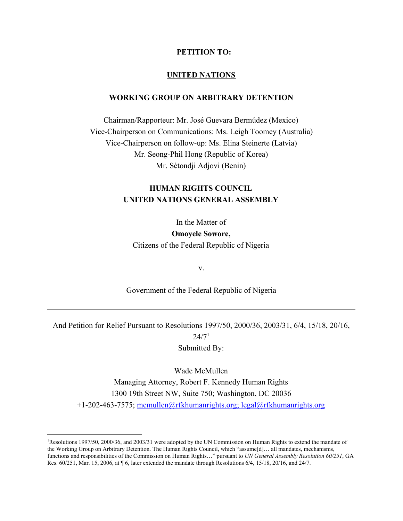#### **PETITION TO:**

#### **UNITED NATIONS**

#### **WORKING GROUP ON ARBITRARY DETENTION**

Chairman/Rapporteur: Mr. José Guevara Bermúdez (Mexico) Vice-Chairperson on Communications: Ms. Leigh Toomey (Australia) Vice-Chairperson on follow-up: Ms. Elina Steinerte (Latvia) Mr. Seong-Phil Hong (Republic of Korea) Mr. Sètondji Adjovi (Benin)

## **HUMAN RIGHTS COUNCIL UNITED NATIONS GENERAL ASSEMBLY**

In the Matter of **Omoyele Sowore,** Citizens of the Federal Republic of Nigeria

v.

Government of the Federal Republic of Nigeria

And Petition for Relief Pursuant to Resolutions 1997/50, 2000/36, 2003/31, 6/4, 15/18, 20/16,  $24/7<sup>1</sup>$ Submitted By:

Wade McMullen Managing Attorney, Robert F. Kennedy Human Rights 1300 19th Street NW, Suite 750; Washington, DC 20036 +1-202-463-7575; mcmullen@rfkhumanrights.org; legal@rfkhumanrights.org

<sup>1</sup>Resolutions 1997/50, 2000/36, and 2003/31 were adopted by the UN Commission on Human Rights to extend the mandate of the Working Group on Arbitrary Detention. The Human Rights Council, which "assume[d]… all mandates, mechanisms, functions and responsibilities of the Commission on Human Rights…" pursuant to *UN General Assembly Resolution 60/251*, GA Res. 60/251, Mar. 15, 2006, at ¶ 6, later extended the mandate through Resolutions 6/4, 15/18, 20/16, and 24/7.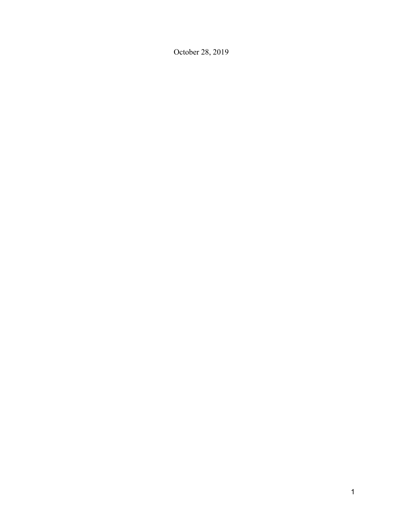October 28, 2019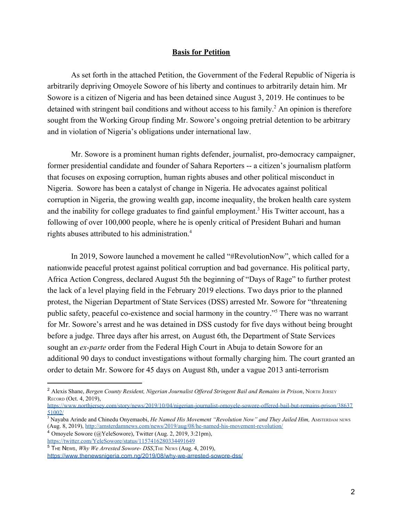#### **Basis for Petition**

As set forth in the attached Petition, the Government of the Federal Republic of Nigeria is arbitrarily depriving Omoyele Sowore of his liberty and continues to arbitrarily detain him. Mr Sowore is a citizen of Nigeria and has been detained since August 3, 2019. He continues to be detained with stringent bail conditions and without access to his family.<sup>2</sup> An opinion is therefore sought from the Working Group finding Mr. Sowore's ongoing pretrial detention to be arbitrary and in violation of Nigeria's obligations under international law.

Mr. Sowore is a prominent human rights defender, journalist, pro-democracy campaigner, former presidential candidate and founder of Sahara Reporters -- a citizen's journalism platform that focuses on exposing corruption, human rights abuses and other political misconduct in Nigeria. Sowore has been a catalyst of change in Nigeria. He advocates against political corruption in Nigeria, the growing wealth gap, income inequality, the broken health care system and the inability for college graduates to find gainful employment.<sup>3</sup> His Twitter account, has a following of over 100,000 people, where he is openly critical of President Buhari and human rights abuses attributed to his administration.<sup>4</sup>

In 2019, Sowore launched a movement he called "#RevolutionNow", which called for a nationwide peaceful protest against political corruption and bad governance. His political party, Africa Action Congress, declared August 5th the beginning of "Days of Rage" to further protest the lack of a level playing field in the February 2019 elections. Two days prior to the planned protest, the Nigerian Department of State Services (DSS) arrested Mr. Sowore for "threatening public safety, peaceful co-existence and social harmony in the country."<sup>5</sup> There was no warrant for Mr. Sowore's arrest and he was detained in DSS custody for five days without being brought before a judge. Three days after his arrest, on August 6th, the Department of State Services sought an *ex-parte* order from the Federal High Court in Abuja to detain Sowore for an additional 90 days to conduct investigations without formally charging him. The court granted an order to detain Mr. Sowore for 45 days on August 8th, under a vague 2013 anti-terrorism

[https://www.northjersey.com/story/news/2019/10/04/nigerian-journalist-omoyele-sowore-offered-bail-but-remains-prison/38637](https://www.northjersey.com/story/news/2019/10/04/nigerian-journalist-omoyele-sowore-offered-bail-but-remains-prison/3863751002/) [51002/](https://www.northjersey.com/story/news/2019/10/04/nigerian-journalist-omoyele-sowore-offered-bail-but-remains-prison/3863751002/)

<sup>3</sup> Nayaba Arinde and Chinedu Onyemaobi, *He Named His Movement "Revolution Now" and They Jailed Him*, AMSTERDAM NEWS (Aug. 8, 2019), <http://amsterdamnews.com/news/2019/aug/08/he-named-his-movement-revolution/>

<sup>4</sup> Omoyele Sowore (@YeleSowore), Twitter (Aug. 2, 2019, 3:21pm), <https://twitter.com/YeleSowore/status/1157416280334491649>

<sup>2</sup> Alexis Shane, *Bergen County Resident, Nigerian Journalist Offered Stringent Bail and Remains in Prison*, NORTH JERSEY RECORD (Oct. 4, 2019),

 $\overline{5}$  THE NEWS, *Why We Arrested Sowore-DSS*, THE NEWS (Aug. 4, 2019),

<https://www.thenewsnigeria.com.ng/2019/08/why-we-arrested-sowore-dss/>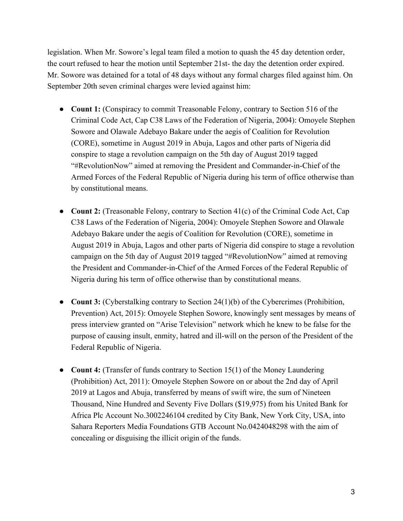legislation. When Mr. Sowore's legal team filed a motion to quash the 45 day detention order, the court refused to hear the motion until September 21st- the day the detention order expired. Mr. Sowore was detained for a total of 48 days without any formal charges filed against him. On September 20th seven criminal charges were levied against him:

- **Count 1:** (Conspiracy to commit Treasonable Felony, contrary to Section 516 of the Criminal Code Act, Cap C38 Laws of the Federation of Nigeria, 2004): Omoyele Stephen Sowore and Olawale Adebayo Bakare under the aegis of Coalition for Revolution (CORE), sometime in August 2019 in Abuja, Lagos and other parts of Nigeria did conspire to stage a revolution campaign on the 5th day of August 2019 tagged "#RevolutionNow" aimed at removing the President and Commander-in-Chief of the Armed Forces of the Federal Republic of Nigeria during his term of office otherwise than by constitutional means.
- **Count 2:** (Treasonable Felony, contrary to Section 41(c) of the Criminal Code Act, Cap C38 Laws of the Federation of Nigeria, 2004): Omoyele Stephen Sowore and Olawale Adebayo Bakare under the aegis of Coalition for Revolution (CORE), sometime in August 2019 in Abuja, Lagos and other parts of Nigeria did conspire to stage a revolution campaign on the 5th day of August 2019 tagged "#RevolutionNow" aimed at removing the President and Commander-in-Chief of the Armed Forces of the Federal Republic of Nigeria during his term of office otherwise than by constitutional means.
- **Count 3:** (Cyberstalking contrary to Section 24(1)(b) of the Cybercrimes (Prohibition, Prevention) Act, 2015): Omoyele Stephen Sowore, knowingly sent messages by means of press interview granted on "Arise Television" network which he knew to be false for the purpose of causing insult, enmity, hatred and ill-will on the person of the President of the Federal Republic of Nigeria.
- **Count 4:** (Transfer of funds contrary to Section 15(1) of the Money Laundering (Prohibition) Act, 2011): Omoyele Stephen Sowore on or about the 2nd day of April 2019 at Lagos and Abuja, transferred by means of swift wire, the sum of Nineteen Thousand, Nine Hundred and Seventy Five Dollars (\$19,975) from his United Bank for Africa Plc Account No.3002246104 credited by City Bank, New York City, USA, into Sahara Reporters Media Foundations GTB Account No.0424048298 with the aim of concealing or disguising the illicit origin of the funds.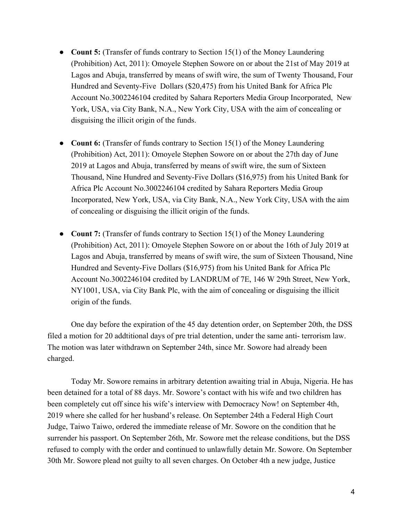- **Count 5:** (Transfer of funds contrary to Section 15(1) of the Money Laundering (Prohibition) Act, 2011): Omoyele Stephen Sowore on or about the 21st of May 2019 at Lagos and Abuja, transferred by means of swift wire, the sum of Twenty Thousand, Four Hundred and Seventy-Five Dollars (\$20,475) from his United Bank for Africa Plc Account No.3002246104 credited by Sahara Reporters Media Group Incorporated, New York, USA, via City Bank, N.A., New York City, USA with the aim of concealing or disguising the illicit origin of the funds.
- **Count 6:** (Transfer of funds contrary to Section 15(1) of the Money Laundering (Prohibition) Act, 2011): Omoyele Stephen Sowore on or about the 27th day of June 2019 at Lagos and Abuja, transferred by means of swift wire, the sum of Sixteen Thousand, Nine Hundred and Seventy-Five Dollars (\$16,975) from his United Bank for Africa Plc Account No.3002246104 credited by Sahara Reporters Media Group Incorporated, New York, USA, via City Bank, N.A., New York City, USA with the aim of concealing or disguising the illicit origin of the funds.
- **Count 7:** (Transfer of funds contrary to Section 15(1) of the Money Laundering (Prohibition) Act, 2011): Omoyele Stephen Sowore on or about the 16th of July 2019 at Lagos and Abuja, transferred by means of swift wire, the sum of Sixteen Thousand, Nine Hundred and Seventy-Five Dollars (\$16,975) from his United Bank for Africa Plc Account No.3002246104 credited by LANDRUM of 7E, 146 W 29th Street, New York, NY1001, USA, via City Bank Plc, with the aim of concealing or disguising the illicit origin of the funds.

One day before the expiration of the 45 day detention order, on September 20th, the DSS filed a motion for 20 addtitional days of pre trial detention, under the same anti- terrorism law. The motion was later withdrawn on September 24th, since Mr. Sowore had already been charged.

Today Mr. Sowore remains in arbitrary detention awaiting trial in Abuja, Nigeria. He has been detained for a total of 88 days. Mr. Sowore's contact with his wife and two children has been completely cut off since his wife's interview with Democracy Now! on September 4th, 2019 where she called for her husband's release. On September 24th a Federal High Court Judge, Taiwo Taiwo, ordered the immediate release of Mr. Sowore on the condition that he surrender his passport. On September 26th, Mr. Sowore met the release conditions, but the DSS refused to comply with the order and continued to unlawfully detain Mr. Sowore. On September 30th Mr. Sowore plead not guilty to all seven charges. On October 4th a new judge, Justice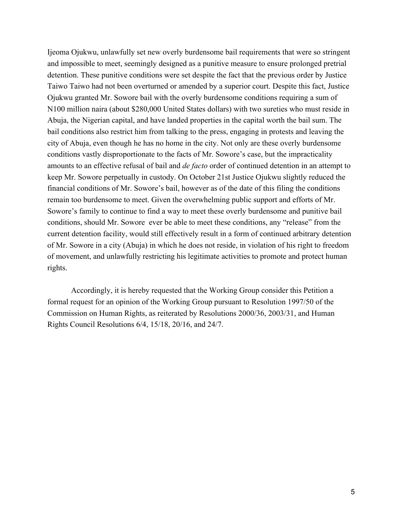Ijeoma Ojukwu, unlawfully set new overly burdensome bail requirements that were so stringent and impossible to meet, seemingly designed as a punitive measure to ensure prolonged pretrial detention. These punitive conditions were set despite the fact that the previous order by Justice Taiwo Taiwo had not been overturned or amended by a superior court. Despite this fact, Justice Ojukwu granted Mr. Sowore bail with the overly burdensome conditions requiring a sum of N100 million naira (about \$280,000 United States dollars) with two sureties who must reside in Abuja, the Nigerian capital, and have landed properties in the capital worth the bail sum. The bail conditions also restrict him from talking to the press, engaging in protests and leaving the city of Abuja, even though he has no home in the city. Not only are these overly burdensome conditions vastly disproportionate to the facts of Mr. Sowore's case, but the impracticality amounts to an effective refusal of bail and *de facto* order of continued detention in an attempt to keep Mr. Sowore perpetually in custody. On October 21st Justice Ojukwu slightly reduced the financial conditions of Mr. Sowore's bail, however as of the date of this filing the conditions remain too burdensome to meet. Given the overwhelming public support and efforts of Mr. Sowore's family to continue to find a way to meet these overly burdensome and punitive bail conditions, should Mr. Sowore ever be able to meet these conditions, any "release" from the current detention facility, would still effectively result in a form of continued arbitrary detention of Mr. Sowore in a city (Abuja) in which he does not reside, in violation of his right to freedom of movement, and unlawfully restricting his legitimate activities to promote and protect human rights.

Accordingly, it is hereby requested that the Working Group consider this Petition a formal request for an opinion of the Working Group pursuant to Resolution 1997/50 of the Commission on Human Rights, as reiterated by Resolutions 2000/36, 2003/31, and Human Rights Council Resolutions 6/4, 15/18, 20/16, and 24/7.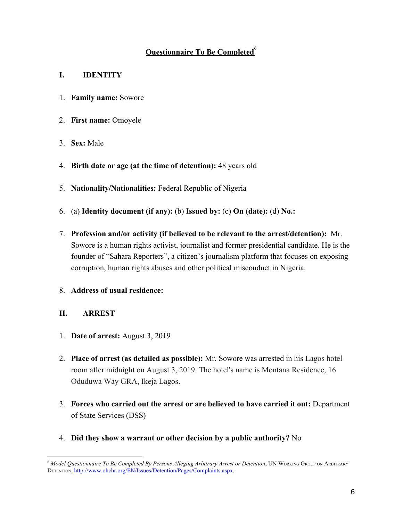# **Questionnaire To Be Completed<sup>6</sup>**

### **I. IDENTITY**

- 1. **Family name:** Sowore
- 2. **First name:** Omoyele
- 3. **Sex:** Male
- 4. **Birth date or age (at the time of detention):** 48 years old
- 5. **Nationality/Nationalities:** Federal Republic of Nigeria
- 6. (a) **Identity document (if any):** (b) **Issued by:** (c) **On (date):** (d) **No.:**
- 7. **Profession and/or activity (if believed to be relevant to the arrest/detention):** Mr. Sowore is a human rights activist, journalist and former presidential candidate. He is the founder of "Sahara Reporters", a citizen's journalism platform that focuses on exposing corruption, human rights abuses and other political misconduct in Nigeria.
- 8. **Address of usual residence:**

### **II. ARREST**

- 1. **Date of arrest:** August 3, 2019
- 2. **Place of arrest (as detailed as possible):** Mr. Sowore was arrested in his Lagos hotel room after midnight on August 3, 2019. The hotel's name is Montana Residence, 16 Oduduwa Way GRA, Ikeja Lagos.
- 3. **Forces who carried out the arrest or are believed to have carried it out:** Department of State Services (DSS)
- 4. **Did they show a warrant or other decision by a public authority?** No

<sup>6</sup> *Model Questionnaire To Be Completed By Persons Alleging Arbitrary Arrest or Detention*, UN WORKING GROUP ON ARBITRARY DETENTION, [http://www.ohchr.org/EN/Issues/Detention/Pages/Complaints.aspx.](http://www.ohchr.org/EN/Issues/Detention/Pages/Complaints.aspx)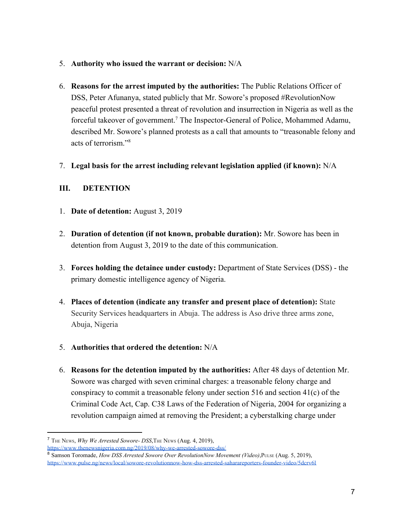- 5. **Authority who issued the warrant or decision:** N/A
- 6. **Reasons for the arrest imputed by the authorities:** The Public Relations Officer of DSS, Peter Afunanya, stated publicly that Mr. Sowore's proposed #RevolutionNow peaceful protest presented a threat of revolution and insurrection in Nigeria as well as the forceful takeover of government.<sup>7</sup> The Inspector-General of Police, Mohammed Adamu, described Mr. Sowore's planned protests as a call that amounts to "treasonable felony and acts of terrorism<sup>"8</sup>
- 7. **Legal basis for the arrest including relevant legislation applied (if known):** N/A

### **III. DETENTION**

- 1. **Date of detention:** August 3, 2019
- 2. **Duration of detention (if not known, probable duration):** Mr. Sowore has been in detention from August 3, 2019 to the date of this communication.
- 3. **Forces holding the detainee under custody:** Department of State Services (DSS) the primary domestic intelligence agency of Nigeria.
- 4. **Places of detention (indicate any transfer and present place of detention):** State Security Services headquarters in Abuja. The address is Aso drive three arms zone, Abuja, Nigeria
- 5. **Authorities that ordered the detention:** N/A
- 6. **Reasons for the detention imputed by the authorities:** After 48 days of detention Mr. Sowore was charged with seven criminal charges: a treasonable felony charge and conspiracy to commit a treasonable felony under section 516 and section 41(c) of the Criminal Code Act, Cap. C38 Laws of the Federation of Nigeria, 2004 for organizing a revolution campaign aimed at removing the President; a cyberstalking charge under

<sup>7</sup> THE NEWS, *Why We Arrested Sowore- DSS*,THE NEWS (Aug. 4, 2019),

<https://www.thenewsnigeria.com.ng/2019/08/why-we-arrested-sowore-dss/>

<sup>8</sup> Samson Toromade, *How DSS Arrested Sowore Over RevolutionNow Movement (Video)*, PULSE (Aug. 5, 2019), <https://www.pulse.ng/news/local/sowore-revolutionnow-how-dss-arrested-saharareporters-founder-video/5dcrv6l>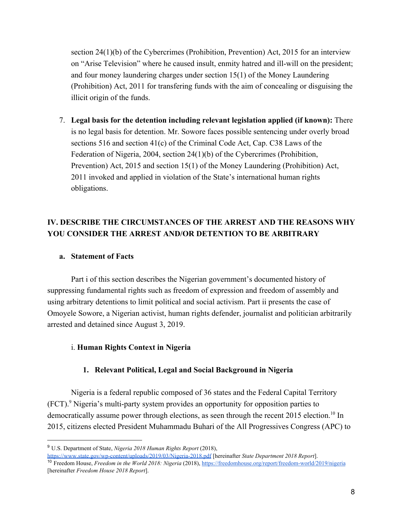section 24(1)(b) of the Cybercrimes (Prohibition, Prevention) Act, 2015 for an interview on "Arise Television" where he caused insult, enmity hatred and ill-will on the president; and four money laundering charges under section 15(1) of the Money Laundering (Prohibition) Act, 2011 for transfering funds with the aim of concealing or disguising the illicit origin of the funds.

7. **Legal basis for the detention including relevant legislation applied (if known):** There is no legal basis for detention. Mr. Sowore faces possible sentencing under overly broad sections 516 and section 41(c) of the Criminal Code Act, Cap. C38 Laws of the Federation of Nigeria, 2004, section 24(1)(b) of the Cybercrimes (Prohibition, Prevention) Act, 2015 and section 15(1) of the Money Laundering (Prohibition) Act, 2011 invoked and applied in violation of the State's international human rights obligations.

# **IV. DESCRIBE THE CIRCUMSTANCES OF THE ARREST AND THE REASONS WHY YOU CONSIDER THE ARREST AND/OR DETENTION TO BE ARBITRARY**

### **a. Statement of Facts**

Part i of this section describes the Nigerian government's documented history of suppressing fundamental rights such as freedom of expression and freedom of assembly and using arbitrary detentions to limit political and social activism. Part ii presents the case of Omoyele Sowore, a Nigerian activist, human rights defender, journalist and politician arbitrarily arrested and detained since August 3, 2019.

### i. **Human Rights Context in Nigeria**

### **1. Relevant Political, Legal and Social Background in Nigeria**

Nigeria is a federal republic composed of 36 states and the Federal Capital Territory  $(FCT)$ . Nigeria's multi-party system provides an opportunity for opposition parties to democratically assume power through elections, as seen through the recent 2015 election.<sup>10</sup> In 2015, citizens elected President Muhammadu Buhari of the All Progressives Congress (APC) to

<sup>9</sup> U.S. Department of State, *Nigeria 2018 Human Rights Report* (2018),

<https://www.state.gov/wp-content/uploads/2019/03/Nigeria-2018.pdf> [hereinafter *State Department 2018 Report*]. <sup>10</sup> Freedom House, *Freedom in the World 2018: Nigeria* (2018)[,](https://freedomhouse.org/report/freedom-world/2016/uganda) <https://freedomhouse.org/report/freedom-world/2019/nigeria> [hereinafter *Freedom House 2018 Report*].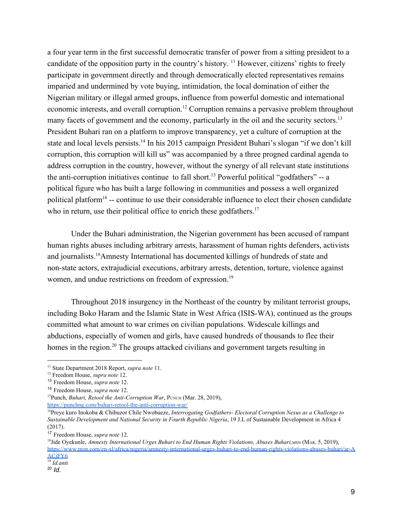a four year term in the first successful democratic transfer of power from a sitting president to a candidate of the opposition party in the country's history.  $\frac{11}{11}$  However, citizens' rights to freely participate in government directly and through democratically elected representatives remains imparied and undermined by vote buying, intimidation, the local domination of either the Nigerian military or illegal armed groups, influence from powerful domestic and international economic interests, and overall corruption.<sup>12</sup> Corruption remains a pervasive problem throughout many facets of government and the economy, particularly in the oil and the security sectors.<sup>13</sup> President Buhari ran on a platform to improve transparency, yet a culture of corruption at the state and local levels persists.<sup>14</sup> In his 2015 campaign President Buhari's slogan "if we don't kill corruption, this corruption will kill us" was accompanied by a three progned cardinal agenda to address corruption in the country, however, without the synergy of all relevant state institutions the anti-corruption initiatives continue to fall short.<sup>15</sup> Powerful political "godfathers" -- a political figure who has built a large following in communities and possess a well organized political platform<sup>16</sup> -- continue to use their considerable influence to elect their chosen candidate who in return, use their political office to enrich these godfathers.<sup>17</sup>

Under the Buhari administration, the Nigerian government has been accused of rampant human rights abuses including arbitrary arrests, harassment of human rights defenders, activists and journalists.<sup>18</sup>Amnesty International has documented killings of hundreds of state and non-state actors, extrajudicial executions, arbitrary arrests, detention, torture, violence against women, and undue restrictions on freedom of expression.<sup>19</sup>

Throughout 2018 insurgency in the Northeast of the country by militant terrorist groups, including Boko Haram and the Islamic State in West Africa (ISIS-WA), continued as the groups committed what amount to war crimes on civilian populations. Widescale killings and abductions, especially of women and girls, have caused hundreds of thousands to flee their homes in the region.<sup>20</sup> The groups attacked civilians and government targets resulting in

<sup>11</sup> State Department 2018 Report, *supra note* 11.

<sup>12</sup> Freedom House, *supra note* 12.

<sup>13</sup> Freedom House, *supra note* 12.

<sup>14</sup> Freedom House, *supra note* 12.

<sup>&</sup>lt;sup>15</sup>Punch, *Buhari, Retool the Anti-Corruption War*, PUNCH (Mar. 28, 2019), <https://punchng.com/buhari-retool-the-anti-corruption-war/>

<sup>&</sup>lt;sup>16</sup>Preye kuro Inokoba & Chibuzor Chile Nwobueze, *Interrogating Godfathers- Electoral Corruption Nexus as a Challenge to Sustainable Development and National Security in Fourth Republic Nigeria*, 19 J.L of Sustainable Development in Africa 4 (2017).

<sup>17</sup> Freedom House, *supra note* 12.

<sup>&</sup>lt;sup>18</sup> Jide Oyekunle, *Amnesty International Urges Buhari to End Human Rights Violations, Abuses Buhari, MSN (MAR. 5, 2019)*, [https://www.msn.com/en-xl/africa/nigeria/amnesty-international-urges-buhari-to-end-human-rights-violations-abuses-buhari/ar-A](https://www.msn.com/en-xl/africa/nigeria/amnesty-international-urges-buhari-to-end-human-rights-violations-abuses-buhari/ar-AACjFY6) [ACjFY6](https://www.msn.com/en-xl/africa/nigeria/amnesty-international-urges-buhari-to-end-human-rights-violations-abuses-buhari/ar-AACjFY6)

<sup>19</sup> *Id.anti*

<sup>20</sup> *Id*.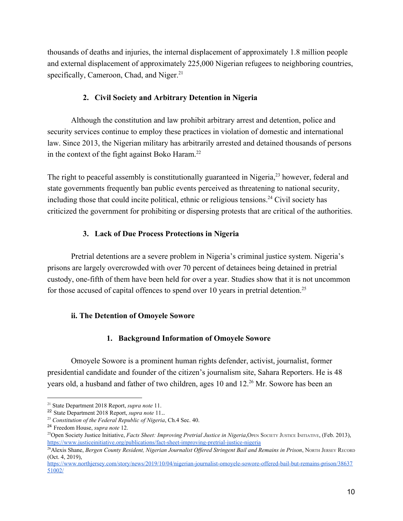thousands of deaths and injuries, the internal displacement of approximately 1.8 million people and external displacement of approximately 225,000 Nigerian refugees to neighboring countries, specifically, Cameroon, Chad, and Niger. $21$ 

### **2. Civil Society and Arbitrary Detention in Nigeria**

Although the constitution and law prohibit arbitrary arrest and detention, police and security services continue to employ these practices in violation of domestic and international law. Since 2013, the Nigerian military has arbitrarily arrested and detained thousands of persons in the context of the fight against Boko Haram. $^{22}$ 

The right to peaceful assembly is constitutionally guaranteed in Nigeria, $23$  however, federal and state governments frequently ban public events perceived as threatening to national security, including those that could incite political, ethnic or religious tensions.<sup>24</sup> Civil society has criticized the government for prohibiting or dispersing protests that are critical of the authorities.

### **3. Lack of Due Process Protections in Nigeria**

Pretrial detentions are a severe problem in Nigeria's criminal justice system. Nigeria's prisons are largely overcrowded with over 70 percent of detainees being detained in pretrial custody, one-fifth of them have been held for over a year. Studies show that it is not uncommon for those accused of capital offences to spend over 10 years in pretrial detention.<sup>25</sup>

### **ii. The Detention of Omoyele Sowore**

### **1. Background Information of Omoyele Sowore**

Omoyele Sowore is a prominent human rights defender, activist, journalist, former presidential candidate and founder of the citizen's journalism site, Sahara Reporters. He is 48 years old, a husband and father of two children, ages 10 and  $12<sup>26</sup>$  Mr. Sowore has been an

<sup>21</sup> State Department 2018 Report, *supra note* 11.

<sup>22</sup> State Department 2018 Report, *supra note* 11..

<sup>23</sup> *Constitution of the Federal Republic of Nigeria*, Ch.4 Sec. 40.

<sup>24</sup> Freedom House, *supra note* 12.

<sup>&</sup>lt;sup>25</sup>Open Society Justice Initiative, *Facts Sheet: Improving Pretrial Justice in Nigeria*, OPEN SOCIETY JUSTICE INITIATIVE, (Feb. 2013), <https://www.justiceinitiative.org/publications/fact-sheet-improving-pretrial-justice-nigeria>

<sup>&</sup>lt;sup>26</sup>Alexis Shane, *Bergen County Resident, Nigerian Journalist Offered Stringent Bail and Remains in Prison, NORTH JERSEY RECORD* (Oct. 4, 2019),

[https://www.northjersey.com/story/news/2019/10/04/nigerian-journalist-omoyele-sowore-offered-bail-but-remains-prison/38637](https://www.northjersey.com/story/news/2019/10/04/nigerian-journalist-omoyele-sowore-offered-bail-but-remains-prison/3863751002/) [51002/](https://www.northjersey.com/story/news/2019/10/04/nigerian-journalist-omoyele-sowore-offered-bail-but-remains-prison/3863751002/)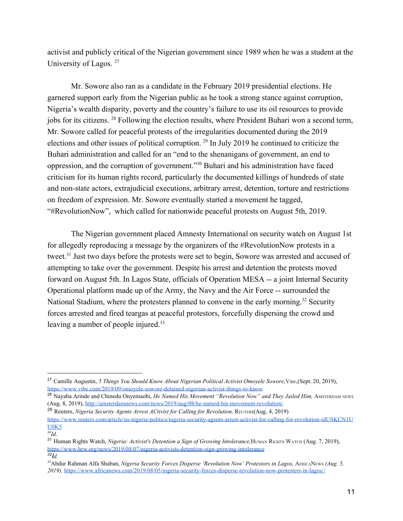activist and publicly critical of the Nigerian government since 1989 when he was a student at the University of Lagos.<sup>27</sup>

Mr. Sowore also ran as a candidate in the February 2019 presidential elections. He garnered support early from the Nigerian public as he took a strong stance against corruption, Nigeria's wealth disparity, poverty and the country's failure to use its oil resources to provide jobs for its citizens. <sup>28</sup> Following the election results, where President Buhari won a second term, Mr. Sowore called for peaceful protests of the irregularities documented during the 2019 elections and other issues of political corruption.  $29$  In July 2019 he continued to criticize the Buhari administration and called for an "end to the shenanigans of government, an end to oppression, and the corruption of government." $30$  Buhari and his administration have faced criticism for its human rights record, particularly the documented killings of hundreds of state and non-state actors, extrajudicial executions, arbitrary arrest, detention, torture and restrictions on freedom of expression. Mr. Sowore eventually started a movement he tagged, "#RevolutionNow", which called for nationwide peaceful protests on August 5th, 2019.

The Nigerian government placed Amnesty International on security watch on August 1st for allegedly reproducing a message by the organizers of the #RevolutionNow protests in a tweet.<sup>31</sup> Just two days before the protests were set to begin, Sowore was arrested and accused of attempting to take over the government. Despite his arrest and detention the protests moved forward on August 5th. In Lagos State, officials of Operation MESA -- a joint Internal Security Operational platform made up of the Army, the Navy and the Air Force -- surrounded the National Stadium, where the protesters planned to convene in the early morning.<sup>32</sup> Security forces arrested and fired teargas at peaceful protestors, forcefully dispersing the crowd and leaving a number of people injured.<sup>33</sup>

<sup>29</sup> Reuters, *Nigeria Security Agents Arrest ACtivist for Calling for Revolution,* REUTERS(Aug. 4, 2019) [https://www.reuters.com/article/us-nigeria-politics/nigeria-security-agents-arrest-activist-for-calling-for-revolution-idUSKCN1U](https://www.reuters.com/article/us-nigeria-politics/nigeria-security-agents-arrest-activist-for-calling-for-revolution-idUSKCN1UU0K5) [U0K5](https://www.reuters.com/article/us-nigeria-politics/nigeria-security-agents-arrest-activist-for-calling-for-revolution-idUSKCN1UU0K5)

<sup>&</sup>lt;sup>27</sup> Camille Augustin, 5 Things You Should Know About Nigerian Political Activist Omoyele Sowore, VIBE, (Sept. 20, 2019), <https://www.vibe.com/2019/09/omoyele-sowore-detained-nigerian-activist-things-to-know>

<sup>&</sup>lt;sup>28</sup> Navaba Arinde and Chinedu Onyemaobi, *He Named His Movement "Revolution Now" and They Jailed Him, AMSTERDAM NEWS* (Aug. 8, 2019), <http://amsterdamnews.com/news/2019/aug/08/he-named-his-movement-revolution/>

*<sup>30</sup> Id.*

<sup>&</sup>lt;sup>31</sup> Human Rights Watch, *Nigeria: Activist's Detention a Sign of Growing Intolerance*, HUMAN RIGHTS WATCH (Aug. 7, 2019), <https://www.hrw.org/news/2019/08/07/nigeria-activists-detention-sign-growing-intolerance>  $32\hat{I}_d$ 

<sup>&</sup>lt;sup>33</sup>Abdur Rahman Alfa Shaban, *Nigeria Security Forces Disperse 'Revolution Now' Protestors in Lagos, AFRICANEWS (Aug. 5, 2019),* <https://www.africanews.com/2019/08/05/nigeria-security-forces-disperse-revolution-now-protesters-in-lagos//>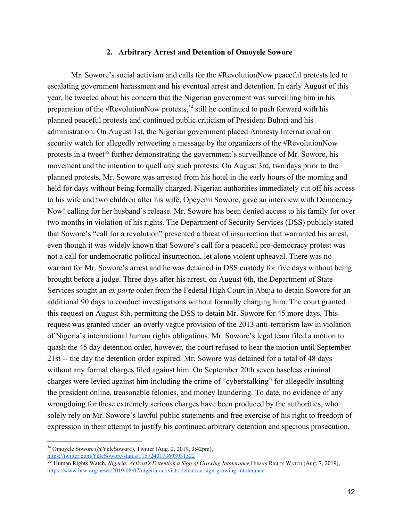#### **2. Arbitrary Arrest and Detention of Omoyele Sowore**

Mr. Sowore's social activism and calls for the #RevolutionNow peaceful protests led to escalating government harassment and his eventual arrest and detention. In early August of this year, he tweeted about his concern that the Nigerian government was surveilling him in his preparation of the #RevolutionNow protests,  $34$  still he continued to push forward with his planned peaceful protests and continued public criticism of President Buhari and his administration. On August 1st, the Nigerian government placed Amnesty International on security watch for allegedly retweeting a message by the organizers of the #RevolutionNow protests in a tweet<sup>35</sup> further demonstrating the government's surveillance of Mr. Sowore, his movement and the intention to quell any such protests. On August 3rd, two days prior to the planned protests, Mr. Sowore was arrested from his hotel in the early hours of the morning and held for days without being formally charged. Nigerian authorities immediately cut off his access to his wife and two children after his wife, Opeyemi Sowore, gave an interview with Democracy Now! calling for her husband's release. Mr. Sowore has been denied access to his family for over two months in violation of his rights. The Department of Security Services (DSS) publicly stated that Sowore's "call for a revolution" presented a threat of insurrection that warranted his arrest, even though it was widely known that Sowore's call for a peaceful pro-democracy protest was not a call for undemocratic political insurrection, let alone violent upheaval. There was no warrant for Mr. Sowore's arrest and he was detained in DSS custody for five days without being brought before a judge. Three days after his arrest, on August 6th, the Department of State Services sought an *ex parte* order from the Federal High Court in Abuja to detain Sowore for an additional 90 days to conduct investigations without formally charging him. The court granted this request on August 8th, permitting the DSS to detain Mr. Sowore for 45 more days. This request was granted under an overly vague provision of the 2013 anti-terrorism law in violation of Nigeria's international human rights obligations. Mr. Sowore's legal team filed a motion to quash the 45 day detention order, however, the court refused to hear the motion until September 21st -- the day the detention order expired. Mr. Sowore was detained for a total of 48 days without any formal charges filed against him. On September 20th seven baseless criminal charges were levied against him including the crime of "cyberstalking" for allegedly insulting the president online, treasonable felonies, and money laundering. To date, no evidence of any wrongdoing for these extremely serious charges have been produced by the authorities, who solely rely on Mr. Sowore's lawful public statements and free exercise of his right to freedom of expression in their attempt to justify his continued arbitrary detention and specious prosecution.

 $34$  Omoyele Sowore (@YeleSowore), Twitter (Aug. 2, 2019, 3:42pm),

<https://twitter.com/YeleSowore/status/1157240173693931522>

<sup>35</sup> Human Rights Watch, *Nigeria: Activist's Detention a Sign of Growing Intolerance,*HUMAN RIGHTS WATCH (Aug. 7, 2019), <https://www.hrw.org/news/2019/08/07/nigeria-activists-detention-sign-growing-intolerance>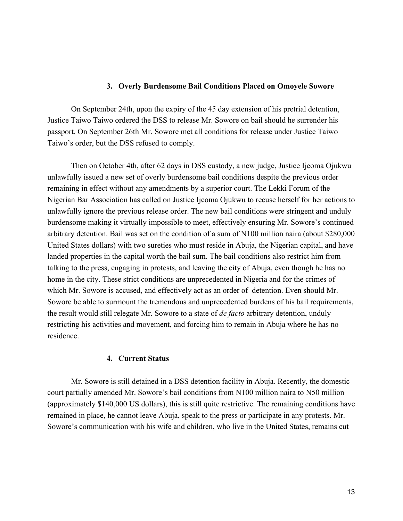#### **3. Overly Burdensome Bail Conditions Placed on Omoyele Sowore**

On September 24th, upon the expiry of the 45 day extension of his pretrial detention, Justice Taiwo Taiwo ordered the DSS to release Mr. Sowore on bail should he surrender his passport. On September 26th Mr. Sowore met all conditions for release under Justice Taiwo Taiwo's order, but the DSS refused to comply.

Then on October 4th, after 62 days in DSS custody, a new judge, Justice Ijeoma Ojukwu unlawfully issued a new set of overly burdensome bail conditions despite the previous order remaining in effect without any amendments by a superior court. The Lekki Forum of the Nigerian Bar Association has called on Justice Ijeoma Ojukwu to recuse herself for her actions to unlawfully ignore the previous release order. The new bail conditions were stringent and unduly burdensome making it virtually impossible to meet, effectively ensuring Mr. Sowore's continued arbitrary detention. Bail was set on the condition of a sum of N100 million naira (about \$280,000 United States dollars) with two sureties who must reside in Abuja, the Nigerian capital, and have landed properties in the capital worth the bail sum. The bail conditions also restrict him from talking to the press, engaging in protests, and leaving the city of Abuja, even though he has no home in the city. These strict conditions are unprecedented in Nigeria and for the crimes of which Mr. Sowore is accused, and effectively act as an order of detention. Even should Mr. Sowore be able to surmount the tremendous and unprecedented burdens of his bail requirements, the result would still relegate Mr. Sowore to a state of *de facto* arbitrary detention, unduly restricting his activities and movement, and forcing him to remain in Abuja where he has no residence.

#### **4. Current Status**

Mr. Sowore is still detained in a DSS detention facility in Abuja. Recently, the domestic court partially amended Mr. Sowore's bail conditions from N100 million naira to N50 million (approximately \$140,000 US dollars), this is still quite restrictive. The remaining conditions have remained in place, he cannot leave Abuja, speak to the press or participate in any protests. Mr. Sowore's communication with his wife and children, who live in the United States, remains cut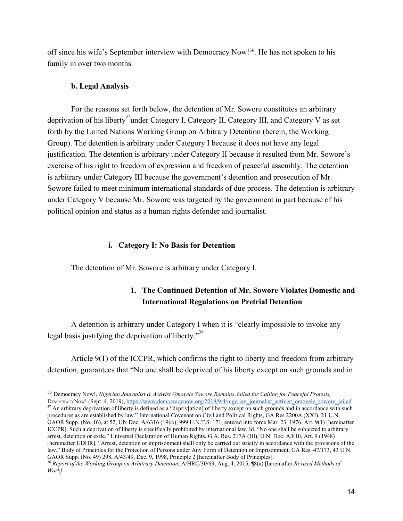off since his wife's September interview with Democracy Now!<sup>36</sup>. He has not spoken to his family in over two months.

#### **b. Legal Analysis**

For the reasons set forth below, the detention of Mr. Sowore constitutes an arbitrary deprivation of his liberty<sup>37</sup> under Category I, Category II, Category III, and Category V as set forth by the United Nations Working Group on Arbitrary Detention (herein, the Working Group). The detention is arbitrary under Category I because it does not have any legal justification. The detention is arbitrary under Category II because it resulted from Mr. Sowore's exercise of his right to freedom of expression and freedom of peaceful assembly. The detention is arbitrary under Category III because the government's detention and prosecution of Mr. Sowore failed to meet minimum international standards of due process. The detention is arbitrary under Category V because Mr. Sowore was targeted by the government in part because of his political opinion and status as a human rights defender and journalist.

#### **i. Category I: No Basis for Detention**

The detention of Mr. Sowore is arbitrary under Category I.

### **1. The Continued Detention of Mr. Sowore Violates Domestic and International Regulations on Pretrial Detention**

A detention is arbitrary under Category I when it is "clearly impossible to invoke any legal basis justifying the deprivation of liberty. $^{38}$ 

Article 9(1) of the ICCPR, which confirms the right to liberty and freedom from arbitrary detention, guarantees that "No one shall be deprived of his liberty except on such grounds and in

DEMOCRACYNOW! (Sept. 4, 2019), https://www.democracynow.org/2019/9/4/nigerian\_journalist\_activist\_omovele\_sowore\_jailed  $37$  An arbitrary deprivation of liberty is defined as a "depriv[ation] of liberty except on such grounds and in accordance with such procedures as are established by law." International Covenant on Civil and Political Rights, GA Res 2200A (XXI), 21 U.N. GAOR Supp. (No. 16), at 52, UN Doc. A/6316 (1966), 999 U.N.T.S. 171, entered into force Mar. 23, 1976, Art. 9(1) [hereinafter ICCPR]. Such a deprivation of liberty is specifically prohibited by international law. Id. "No one shall be subjected to arbitrary arrest, detention or exile." Universal Declaration of Human Rights, G.A. Res. 217A (III), U.N. Doc. A/810, Art. 9 (1948) [hereinafter UDHR]. "Arrest, detention or imprisonment shall only be carried out strictly in accordance with the provisions of the law." Body of Principles for the Protection of Persons under Any Form of Detention or Imprisonment, GA Res. 47/173, 43 U.N. GAOR Supp. (No. 49) 298, A/43/49, Dec. 9, 1998, Principle 2 [hereinafter Body of Principles].

<sup>36</sup> Democracy Now!, *Nigerian Journalist & Activist Omoyele Sowore Remains Jailed for Calling for Peaceful Protests,*

<sup>38</sup> *Report of the Working Group on Arbitrary Detention*, A/HRC/30/69, Aug. 4, 2015, ¶8(a) [hereinafter *Revised Methods of Work].*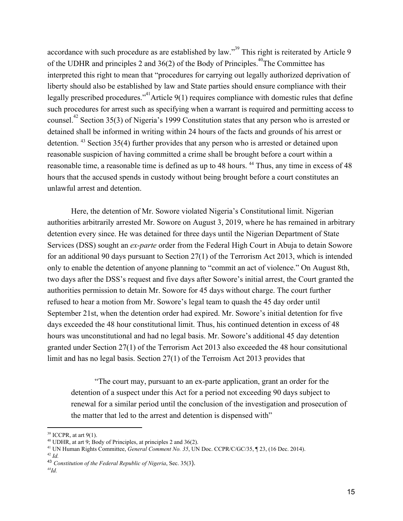accordance with such procedure as are established by law."<sup>39</sup> This right is reiterated by Article 9 of the UDHR and principles 2 and  $36(2)$  of the Body of Principles.<sup>40</sup>The Committee has interpreted this right to mean that "procedures for carrying out legally authorized deprivation of liberty should also be established by law and State parties should ensure compliance with their legally prescribed procedures."<sup>41</sup> Article 9(1) requires compliance with domestic rules that define such procedures for arrest such as specifying when a warrant is required and permitting access to counsel.<sup>42</sup> Section 35(3) of Nigeria's 1999 Constitution states that any person who is arrested or detained shall be informed in writing within 24 hours of the facts and grounds of his arrest or detention.  $43$  Section 35(4) further provides that any person who is arrested or detained upon reasonable suspicion of having committed a crime shall be brought before a court within a reasonable time, a reasonable time is defined as up to 48 hours. <sup>44</sup> Thus, any time in excess of 48 hours that the accused spends in custody without being brought before a court constitutes an unlawful arrest and detention.

Here, the detention of Mr. Sowore violated Nigeria's Constitutional limit. Nigerian authorities arbitrarily arrested Mr. Sowore on August 3, 2019, where he has remained in arbitrary detention every since. He was detained for three days until the Nigerian Department of State Services (DSS) sought an *ex-parte* order from the Federal High Court in Abuja to detain Sowore for an additional 90 days pursuant to Section 27(1) of the Terrorism Act 2013, which is intended only to enable the detention of anyone planning to "commit an act of violence." On August 8th, two days after the DSS's request and five days after Sowore's initial arrest, the Court granted the authorities permission to detain Mr. Sowore for 45 days without charge. The court further refused to hear a motion from Mr. Sowore's legal team to quash the 45 day order until September 21st, when the detention order had expired. Mr. Sowore's initial detention for five days exceeded the 48 hour constitutional limit. Thus, his continued detention in excess of 48 hours was unconstitutional and had no legal basis. Mr. Sowore's additional 45 day detention granted under Section 27(1) of the Terrorism Act 2013 also exceeded the 48 hour consitutional limit and has no legal basis. Section 27(1) of the Terroism Act 2013 provides that

"The court may, pursuant to an ex-parte application, grant an order for the detention of a suspect under this Act for a period not exceeding 90 days subject to renewal for a similar period until the conclusion of the investigation and prosecution of the matter that led to the arrest and detention is dispensed with"

 $39$  ICCPR, at art 9(1).

<sup>40</sup> UDHR, at art 9; Body of Principles, at principles 2 and 36(2).

<sup>41</sup> UN Human Rights Committee, *General Comment No. 35*, UN Doc. CCPR/C/GC/35, ¶ 23, (16 Dec. 2014). 42 *Id.*

<sup>43</sup> *Constitution of the Federal Republic of Nigeria*, Sec. 35(3).

*<sup>44</sup> Id.*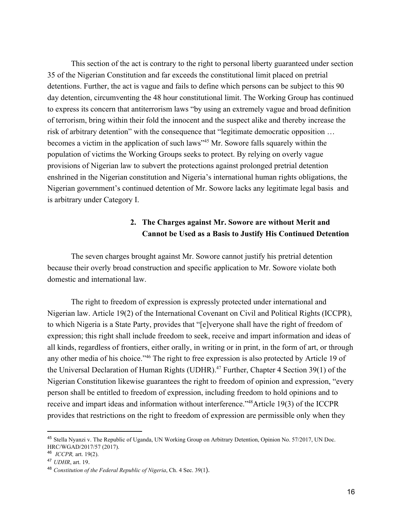This section of the act is contrary to the right to personal liberty guaranteed under section 35 of the Nigerian Constitution and far exceeds the constitutional limit placed on pretrial detentions. Further, the act is vague and fails to define which persons can be subject to this 90 day detention, circumventing the 48 hour constitutional limit. The Working Group has continued to express its concern that antiterrorism laws "by using an extremely vague and broad definition of terrorism, bring within their fold the innocent and the suspect alike and thereby increase the risk of arbitrary detention" with the consequence that "legitimate democratic opposition … becomes a victim in the application of such laws<sup> $345$ </sup> Mr. Sowore falls squarely within the population of victims the Working Groups seeks to protect. By relying on overly vague provisions of Nigerian law to subvert the protections against prolonged pretrial detention enshrined in the Nigerian constitution and Nigeria's international human rights obligations, the Nigerian government's continued detention of Mr. Sowore lacks any legitimate legal basis and is arbitrary under Category I.

## **2. The Charges against Mr. Sowore are without Merit and Cannot be Used as a Basis to Justify His Continued Detention**

The seven charges brought against Mr. Sowore cannot justify his pretrial detention because their overly broad construction and specific application to Mr. Sowore violate both domestic and international law.

The right to freedom of expression is expressly protected under international and Nigerian law. Article 19(2) of the International Covenant on Civil and Political Rights (ICCPR), to which Nigeria is a State Party, provides that "[e]veryone shall have the right of freedom of expression; this right shall include freedom to seek, receive and impart information and ideas of all kinds, regardless of frontiers, either orally, in writing or in print, in the form of art, or through any other media of his choice."<sup>46</sup> The right to free expression is also protected by Article 19 of the Universal Declaration of Human Rights (UDHR).<sup>47</sup> Further, Chapter 4 Section 39(1) of the Nigerian Constitution likewise guarantees the right to freedom of opinion and expression, "every person shall be entitled to freedom of expression, including freedom to hold opinions and to receive and impart ideas and information without interference."<sup>48</sup>Article 19(3) of the ICCPR provides that restrictions on the right to freedom of expression are permissible only when they

<sup>45</sup> Stella Nyanzi v. The Republic of Uganda, UN Working Group on Arbitrary Detention, Opinion No. 57/2017, UN Doc. HRC/WGAD/2017/57 (2017).

<sup>46</sup> *ICCPR,* art. 19(2).

<sup>47</sup> *UDHR*, art. 19.

<sup>48</sup> *Constitution of the Federal Republic of Nigeria*, Ch. 4 Sec. 39(1).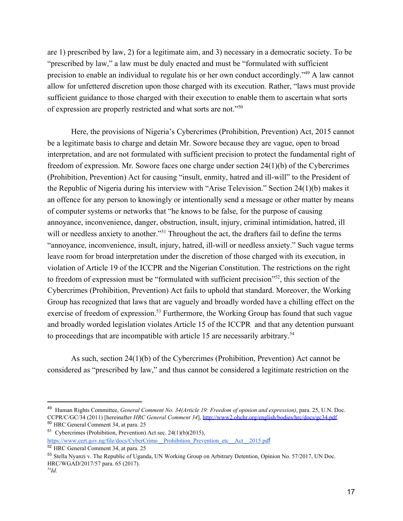are 1) prescribed by law, 2) for a legitimate aim, and 3) necessary in a democratic society. To be "prescribed by law," a law must be duly enacted and must be "formulated with sufficient precision to enable an individual to regulate his or her own conduct accordingly." $49$  A law cannot allow for unfettered discretion upon those charged with its execution. Rather, "laws must provide sufficient guidance to those charged with their execution to enable them to ascertain what sorts of expression are properly restricted and what sorts are not."<sup>50</sup>

Here, the provisions of Nigeria's Cybercrimes (Prohibition, Prevention) Act, 2015 cannot be a legitimate basis to charge and detain Mr. Sowore because they are vague, open to broad interpretation, and are not formulated with sufficient precision to protect the fundamental right of freedom of expression. Mr. Sowore faces one charge under section 24(1)(b) of the Cybercrimes (Prohibition, Prevention) Act for causing "insult, enmity, hatred and ill-will" to the President of the Republic of Nigeria during his interview with "Arise Television." Section 24(1)(b) makes it an offence for any person to knowingly or intentionally send a message or other matter by means of computer systems or networks that "he knows to be false, for the purpose of causing annoyance, inconvenience, danger, obstruction, insult, injury, criminal intimidation, hatred, ill will or needless anxiety to another."<sup>51</sup> Throughout the act, the drafters fail to define the terms "annoyance, inconvenience, insult, injury, hatred, ill-will or needless anxiety." Such vague terms leave room for broad interpretation under the discretion of those charged with its execution, in violation of Article 19 of the ICCPR and the Nigerian Constitution. The restrictions on the right to freedom of expression must be "formulated with sufficient precision"<sup>52</sup>, this section of the Cybercrimes (Prohibition, Prevention) Act fails to uphold that standard. Moreover, the Working Group has recognized that laws that are vaguely and broadly worded have a chilling effect on the exercise of freedom of expression.<sup>53</sup> Furthermore, the Working Group has found that such vague and broadly worded legislation violates Article 15 of the ICCPR and that any detention pursuant to proceedings that are incompatible with article 15 are necessarily arbitrary.<sup>54</sup>

As such, section 24(1)(b) of the Cybercrimes (Prohibition, Prevention) Act cannot be considered as "prescribed by law," and thus cannot be considered a legitimate restriction on the

<sup>49</sup> Human Rights Committee, *General Comment No. 34(Article 19: Freedom of opinion and expression)*, para. 25, U.N. Doc. CCPR/C/GC/34 (2011) [hereinafter *HRC General Comment 34*], <http://www2.ohchr.org/english/bodies/hrc/docs/gc34.pdf>. <sup>50</sup> HRC General Comment 34, at para. 25

<sup>51</sup> Cybercrimes (Prohibition, Prevention) Act sec. 24(1)(b)(2015), [https://www.cert.gov.ng/file/docs/CyberCrime\\_\\_Prohibition\\_Prevention\\_etc\\_\\_Act\\_\\_2015.pd](https://www.cert.gov.ng/file/docs/CyberCrime__Prohibition_Prevention_etc__Act__2015.pdf)[f](https://www.cert.gov.ng/file/docs/CyberCrime__Prohibition_Prevention_etc__Act__2015.pdf)

<sup>52</sup> HRC General Comment 34, at para. 25

<sup>53</sup> Stella Nyanzi v. The Republic of Uganda, UN Working Group on Arbitrary Detention, Opinion No. 57/2017, UN Doc. HRC/WGAD/2017/57 para. 65 (2017).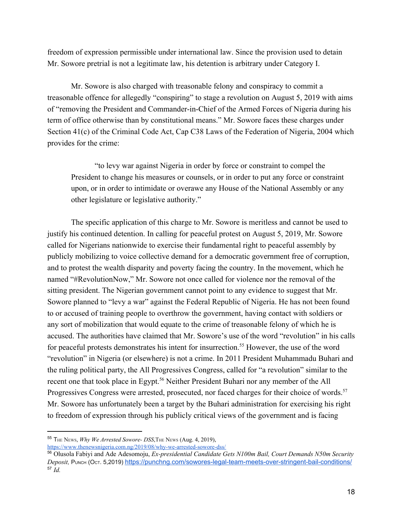freedom of expression permissible under international law. Since the provision used to detain Mr. Sowore pretrial is not a legitimate law, his detention is arbitrary under Category I.

Mr. Sowore is also charged with treasonable felony and conspiracy to commit a treasonable offence for allegedly "conspiring" to stage a revolution on August 5, 2019 with aims of "removing the President and Commander-in-Chief of the Armed Forces of Nigeria during his term of office otherwise than by constitutional means." Mr. Sowore faces these charges under Section 41(c) of the Criminal Code Act, Cap C38 Laws of the Federation of Nigeria, 2004 which provides for the crime:

"to levy war against Nigeria in order by force or constraint to compel the President to change his measures or counsels, or in order to put any force or constraint upon, or in order to intimidate or overawe any House of the National Assembly or any other legislature or legislative authority."

The specific application of this charge to Mr. Sowore is meritless and cannot be used to justify his continued detention. In calling for peaceful protest on August 5, 2019, Mr. Sowore called for Nigerians nationwide to exercise their fundamental right to peaceful assembly by publicly mobilizing to voice collective demand for a democratic government free of corruption, and to protest the wealth disparity and poverty facing the country. In the movement, which he named "#RevolutionNow," Mr. Sowore not once called for violence nor the removal of the sitting president. The Nigerian government cannot point to any evidence to suggest that Mr. Sowore planned to "levy a war" against the Federal Republic of Nigeria. He has not been found to or accused of training people to overthrow the government, having contact with soldiers or any sort of mobilization that would equate to the crime of treasonable felony of which he is accused. The authorities have claimed that Mr. Sowore's use of the word "revolution" in his calls for peaceful protests demonstrates his intent for insurrection.<sup>55</sup> However, the use of the word "revolution" in Nigeria (or elsewhere) is not a crime. In 2011 President Muhammadu Buhari and the ruling political party, the All Progressives Congress, called for "a revolution" similar to the recent one that took place in Egypt.<sup>56</sup> Neither President Buhari nor any member of the All Progressives Congress were arrested, prosecuted, nor faced charges for their choice of words.<sup>57</sup> Mr. Sowore has unfortunately been a target by the Buhari administration for exercising his right to freedom of expression through his publicly critical views of the government and is facing

<https://www.thenewsnigeria.com.ng/2019/08/why-we-arrested-sowore-dss/>

<sup>55</sup> THE NEWS, *Why We Arrested Sowore- DSS*,THE NEWS (Aug. 4, 2019),

<sup>56</sup> Olusola Fabiyi and Ade Adesomoju, *Ex-presidential Candidate Gets N100m Bail, Court Demands N50m Security Deposit,* Римсн (Ост. 5,2019) <https://punchng.com/sowores-legal-team-meets-over-stringent-bail-conditions/> <sup>57</sup> *Id.*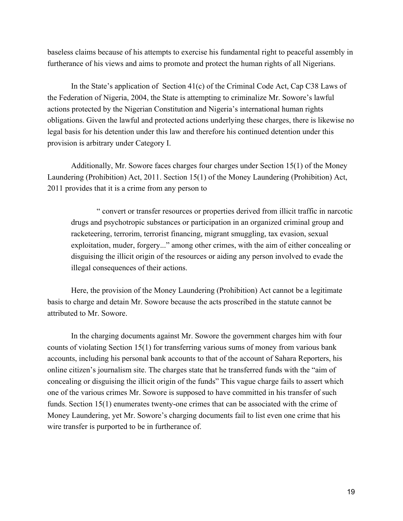baseless claims because of his attempts to exercise his fundamental right to peaceful assembly in furtherance of his views and aims to promote and protect the human rights of all Nigerians.

In the State's application of Section 41(c) of the Criminal Code Act, Cap C38 Laws of the Federation of Nigeria, 2004, the State is attempting to criminalize Mr. Sowore's lawful actions protected by the Nigerian Constitution and Nigeria's international human rights obligations. Given the lawful and protected actions underlying these charges, there is likewise no legal basis for his detention under this law and therefore his continued detention under this provision is arbitrary under Category I.

Additionally, Mr. Sowore faces charges four charges under Section 15(1) of the Money Laundering (Prohibition) Act, 2011. Section 15(1) of the Money Laundering (Prohibition) Act, 2011 provides that it is a crime from any person to

 " convert or transfer resources or properties derived from illicit traffic in narcotic drugs and psychotropic substances or participation in an organized criminal group and racketeering, terrorim, terrorist financing, migrant smuggling, tax evasion, sexual exploitation, muder, forgery..." among other crimes, with the aim of either concealing or disguising the illicit origin of the resources or aiding any person involved to evade the illegal consequences of their actions.

Here, the provision of the Money Laundering (Prohibition) Act cannot be a legitimate basis to charge and detain Mr. Sowore because the acts proscribed in the statute cannot be attributed to Mr. Sowore.

In the charging documents against Mr. Sowore the government charges him with four counts of violating Section 15(1) for transferring various sums of money from various bank accounts, including his personal bank accounts to that of the account of Sahara Reporters, his online citizen's journalism site. The charges state that he transferred funds with the "aim of concealing or disguising the illicit origin of the funds" This vague charge fails to assert which one of the various crimes Mr. Sowore is supposed to have committed in his transfer of such funds. Section 15(1) enumerates twenty-one crimes that can be associated with the crime of Money Laundering, yet Mr. Sowore's charging documents fail to list even one crime that his wire transfer is purported to be in furtherance of.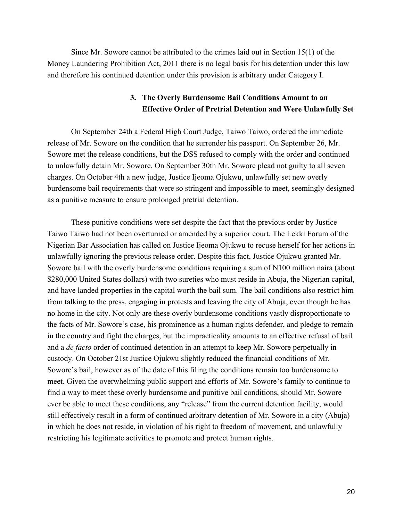Since Mr. Sowore cannot be attributed to the crimes laid out in Section 15(1) of the Money Laundering Prohibition Act, 2011 there is no legal basis for his detention under this law and therefore his continued detention under this provision is arbitrary under Category I.

### **3. The Overly Burdensome Bail Conditions Amount to an Effective Order of Pretrial Detention and Were Unlawfully Set**

On September 24th a Federal High Court Judge, Taiwo Taiwo, ordered the immediate release of Mr. Sowore on the condition that he surrender his passport. On September 26, Mr. Sowore met the release conditions, but the DSS refused to comply with the order and continued to unlawfully detain Mr. Sowore. On September 30th Mr. Sowore plead not guilty to all seven charges. On October 4th a new judge, Justice Ijeoma Ojukwu, unlawfully set new overly burdensome bail requirements that were so stringent and impossible to meet, seemingly designed as a punitive measure to ensure prolonged pretrial detention.

These punitive conditions were set despite the fact that the previous order by Justice Taiwo Taiwo had not been overturned or amended by a superior court. The Lekki Forum of the Nigerian Bar Association has called on Justice Ijeoma Ojukwu to recuse herself for her actions in unlawfully ignoring the previous release order. Despite this fact, Justice Ojukwu granted Mr. Sowore bail with the overly burdensome conditions requiring a sum of N100 million naira (about \$280,000 United States dollars) with two sureties who must reside in Abuja, the Nigerian capital, and have landed properties in the capital worth the bail sum. The bail conditions also restrict him from talking to the press, engaging in protests and leaving the city of Abuja, even though he has no home in the city. Not only are these overly burdensome conditions vastly disproportionate to the facts of Mr. Sowore's case, his prominence as a human rights defender, and pledge to remain in the country and fight the charges, but the impracticality amounts to an effective refusal of bail and a *de facto* order of continued detention in an attempt to keep Mr. Sowore perpetually in custody. On October 21st Justice Ojukwu slightly reduced the financial conditions of Mr. Sowore's bail, however as of the date of this filing the conditions remain too burdensome to meet. Given the overwhelming public support and efforts of Mr. Sowore's family to continue to find a way to meet these overly burdensome and punitive bail conditions, should Mr. Sowore ever be able to meet these conditions, any "release" from the current detention facility, would still effectively result in a form of continued arbitrary detention of Mr. Sowore in a city (Abuja) in which he does not reside, in violation of his right to freedom of movement, and unlawfully restricting his legitimate activities to promote and protect human rights.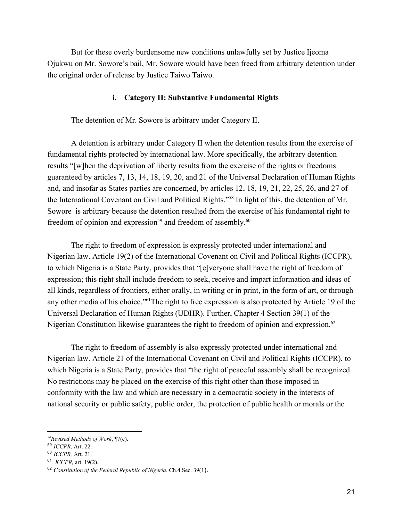But for these overly burdensome new conditions unlawfully set by Justice Ijeoma Ojukwu on Mr. Sowore's bail, Mr. Sowore would have been freed from arbitrary detention under the original order of release by Justice Taiwo Taiwo.

#### **i. Category II: Substantive Fundamental Rights**

The detention of Mr. Sowore is arbitrary under Category II.

A detention is arbitrary under Category II when the detention results from the exercise of fundamental rights protected by international law. More specifically, the arbitrary detention results "[w]hen the deprivation of liberty results from the exercise of the rights or freedoms guaranteed by articles 7, 13, 14, 18, 19, 20, and 21 of the Universal Declaration of Human Rights and, and insofar as States parties are concerned, by articles 12, 18, 19, 21, 22, 25, 26, and 27 of the International Covenant on Civil and Political Rights."<sup>58</sup> In light of this, the detention of Mr. Sowore is arbitrary because the detention resulted from the exercise of his fundamental right to freedom of opinion and expression<sup>59</sup> and freedom of assembly.<sup>60</sup>

The right to freedom of expression is expressly protected under international and Nigerian law. Article 19(2) of the International Covenant on Civil and Political Rights (ICCPR), to which Nigeria is a State Party, provides that "[e]veryone shall have the right of freedom of expression; this right shall include freedom to seek, receive and impart information and ideas of all kinds, regardless of frontiers, either orally, in writing or in print, in the form of art, or through any other media of his choice."<sup>61</sup>The right to free expression is also protected by Article 19 of the Universal Declaration of Human Rights (UDHR). Further, Chapter 4 Section 39(1) of the Nigerian Constitution likewise guarantees the right to freedom of opinion and expression.<sup>62</sup>

The right to freedom of assembly is also expressly protected under international and Nigerian law. Article 21 of the International Covenant on Civil and Political Rights (ICCPR), to which Nigeria is a State Party, provides that "the right of peaceful assembly shall be recognized. No restrictions may be placed on the exercise of this right other than those imposed in conformity with the law and which are necessary in a democratic society in the interests of national security or public safety, public order, the protection of public health or morals or the

*<sup>58</sup>Revised Methods of Work*, ¶7(e).

<sup>59</sup> *ICCPR,* Art. 22.

<sup>60</sup> *ICCPR,* Art. 21.

<sup>61</sup> *ICCPR,* art. 19(2).

<sup>62</sup> *Constitution of the Federal Republic of Nigeria*, Ch.4 Sec. 39(1).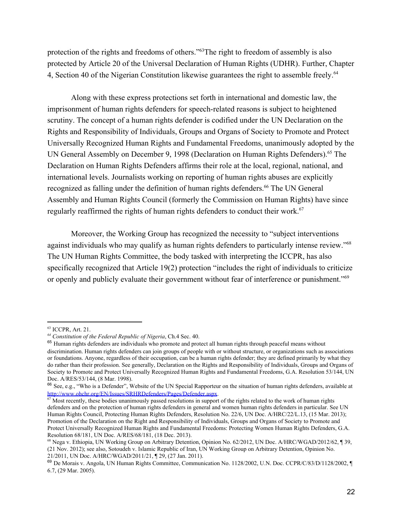protection of the rights and freedoms of others."<sup>63</sup>The right to freedom of assembly is also protected by Article 20 of the Universal Declaration of Human Rights (UDHR). Further, Chapter 4, Section 40 of the Nigerian Constitution likewise guarantees the right to assemble freely.<sup>64</sup>

Along with these express protections set forth in international and domestic law, the imprisonment of human rights defenders for speech-related reasons is subject to heightened scrutiny. The concept of a human rights defender is codified under the UN Declaration on the Rights and Responsibility of Individuals, Groups and Organs of Society to Promote and Protect Universally Recognized Human Rights and Fundamental Freedoms, unanimously adopted by the UN General Assembly on December 9, 1998 (Declaration on Human Rights Defenders).<sup>65</sup> The Declaration on Human Rights Defenders affirms their role at the local, regional, national, and international levels. Journalists working on reporting of human rights abuses are explicitly recognized as falling under the definition of human rights defenders.<sup>66</sup> The UN General Assembly and Human Rights Council (formerly the Commission on Human Rights) have since regularly reaffirmed the rights of human rights defenders to conduct their work.<sup>67</sup>

Moreover, the Working Group has recognized the necessity to "subject interventions against individuals who may qualify as human rights defenders to particularly intense review."<sup>68</sup> The UN Human Rights Committee, the body tasked with interpreting the ICCPR, has also specifically recognized that Article 19(2) protection "includes the right of individuals to criticize or openly and publicly evaluate their government without fear of interference or punishment."<sup>69</sup>

<sup>63</sup> ICCPR, Art. 21.

*<sup>64</sup> Constitution of the Federal Republic of Nigeria*, Ch.4 Sec. 40.

<sup>&</sup>lt;sup>65</sup> Human rights defenders are individuals who promote and protect all human rights through peaceful means without discrimination. Human rights defenders can join groups of people with or without structure, or organizations such as associations or foundations. Anyone, regardless of their occupation, can be a human rights defender; they are defined primarily by what they do rather than their profession. See generally, Declaration on the Rights and Responsibility of Individuals, Groups and Organs of Society to Promote and Protect Universally Recognized Human Rights and Fundamental Freedoms, G.A. Resolution 53/144, UN Doc. A/RES/53/144, (8 Mar. 1998).

<sup>&</sup>lt;sup>66</sup> See, e.g., "Who is a Defender", Website of the UN Special Rapporteur on the situation of human rights defenders, available at <http://www.ohchr.org/EN/Issues/SRHRDefenders/Pages/Defender.aspx>.

 $67$  Most recently, these bodies unanimously passed resolutions in support of the rights related to the work of human rights defenders and on the protection of human rights defenders in general and women human rights defenders in particular. See UN Human Rights Council, Protecting Human Rights Defenders, Resolution No. 22/6, UN Doc. A/HRC/22/L.13, (15 Mar. 2013); Promotion of the Declaration on the Right and Responsibility of Individuals, Groups and Organs of Society to Promote and Protect Universally Recognized Human Rights and Fundamental Freedoms: Protecting Women Human Rights Defenders, G.A. Resolution 68/181, UN Doc. A/RES/68/181, (18 Dec. 2013).

<sup>68</sup> Nega v. Ethiopia, UN Working Group on Arbitrary Detention, Opinion No. 62/2012, UN Doc. A/HRC/WGAD/2012/62, ¶ 39, (21 Nov. 2012); see also, Sotoudeh v. Islamic Republic of Iran, UN Working Group on Arbitrary Detention, Opinion No. 21/2011, UN Doc. A/HRC/WGAD/2011/21, ¶ 29, (27 Jan. 2011).

<sup>69</sup> De Morais v. Angola, UN Human Rights Committee, Communication No. 1128/2002, U.N. Doc. CCPR/C/83/D/1128/2002, ¶ 6.7, (29 Mar. 2005).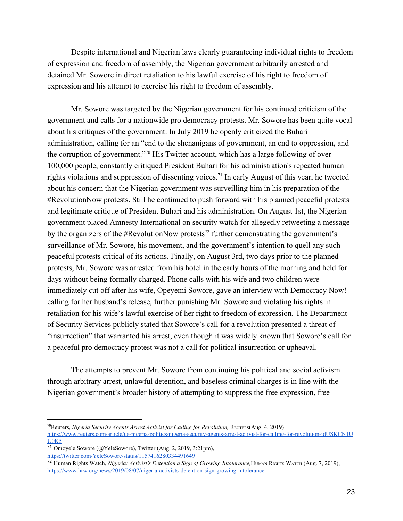Despite international and Nigerian laws clearly guaranteeing individual rights to freedom of expression and freedom of assembly, the Nigerian government arbitrarily arrested and detained Mr. Sowore in direct retaliation to his lawful exercise of his right to freedom of expression and his attempt to exercise his right to freedom of assembly.

Mr. Sowore was targeted by the Nigerian government for his continued criticism of the government and calls for a nationwide pro democracy protests. Mr. Sowore has been quite vocal about his critiques of the government. In July 2019 he openly criticized the Buhari administration, calling for an "end to the shenanigans of government, an end to oppression, and the corruption of government."<sup>70</sup> His Twitter account, which has a large following of over 100,000 people, constantly critiqued President Buhari for his administration's repeated human rights violations and suppression of dissenting voices.<sup>71</sup> In early August of this year, he tweeted about his concern that the Nigerian government was surveilling him in his preparation of the #RevolutionNow protests. Still he continued to push forward with his planned peaceful protests and legitimate critique of President Buhari and his administration. On August 1st, the Nigerian government placed Amnesty International on security watch for allegedly retweeting a message by the organizers of the #RevolutionNow protests<sup>72</sup> further demonstrating the government's surveillance of Mr. Sowore, his movement, and the government's intention to quell any such peaceful protests critical of its actions. Finally, on August 3rd, two days prior to the planned protests, Mr. Sowore was arrested from his hotel in the early hours of the morning and held for days without being formally charged. Phone calls with his wife and two children were immediately cut off after his wife, Opeyemi Sowore, gave an interview with Democracy Now! calling for her husband's release, further punishing Mr. Sowore and violating his rights in retaliation for his wife's lawful exercise of her right to freedom of expression. The Department of Security Services publicly stated that Sowore's call for a revolution presented a threat of "insurrection" that warranted his arrest, even though it was widely known that Sowore's call for a peaceful pro democracy protest was not a call for political insurrection or upheaval.

The attempts to prevent Mr. Sowore from continuing his political and social activism through arbitrary arrest, unlawful detention, and baseless criminal charges is in line with the Nigerian government's broader history of attempting to suppress the free expression, free

<sup>70</sup>Reuters, *Nigeria Security Agents Arrest Activist for Calling for Revolution,* REUTERS(Aug. 4, 2019) [https://www.reuters.com/article/us-nigeria-politics/nigeria-security-agents-arrest-activist-for-calling-for-revolution-idUSKCN1U](https://www.reuters.com/article/us-nigeria-politics/nigeria-security-agents-arrest-activist-for-calling-for-revolution-idUSKCN1UU0K5)  $U0K5$ 

<sup>71</sup> Omoyele Sowore (@YeleSowore), Twitter (Aug. 2, 2019, 3:21pm),

<https://twitter.com/YeleSowore/status/1157416280334491649>

<sup>72</sup> Human Rights Watch, *Nigeria: Activist's Detention a Sign of Growing Intolerance,*HUMAN RIGHTS WATCH (Aug. 7, 2019), <https://www.hrw.org/news/2019/08/07/nigeria-activists-detention-sign-growing-intolerance>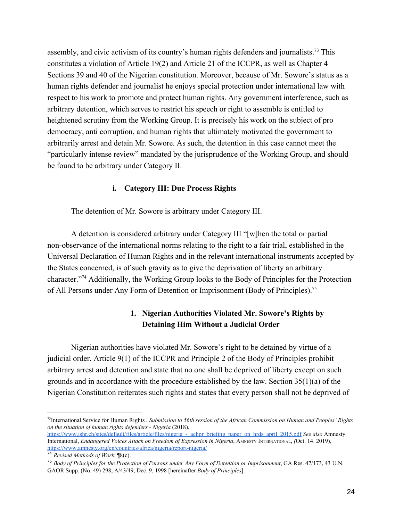assembly, and civic activism of its country's human rights defenders and journalists.<sup>73</sup> This constitutes a violation of Article 19(2) and Article 21 of the ICCPR, as well as Chapter 4 Sections 39 and 40 of the Nigerian constitution. Moreover, because of Mr. Sowore's status as a human rights defender and journalist he enjoys special protection under international law with respect to his work to promote and protect human rights. Any government interference, such as arbitrary detention, which serves to restrict his speech or right to assemble is entitled to heightened scrutiny from the Working Group. It is precisely his work on the subject of pro democracy, anti corruption, and human rights that ultimately motivated the government to arbitrarily arrest and detain Mr. Sowore. As such, the detention in this case cannot meet the "particularly intense review" mandated by the jurisprudence of the Working Group, and should be found to be arbitrary under Category II.

#### **i. Category III: Due Process Rights**

The detention of Mr. Sowore is arbitrary under Category III.

A detention is considered arbitrary under Category III "[w]hen the total or partial non-observance of the international norms relating to the right to a fair trial, established in the Universal Declaration of Human Rights and in the relevant international instruments accepted by the States concerned, is of such gravity as to give the deprivation of liberty an arbitrary character."<sup>74</sup> Additionally, the Working Group looks to the Body of Principles for the Protection of All Persons under Any Form of Detention or Imprisonment (Body of Principles).<sup>75</sup>

### **1. Nigerian Authorities Violated Mr. Sowore's Rights by Detaining Him Without a Judicial Order**

Nigerian authorities have violated Mr. Sowore's right to be detained by virtue of a judicial order. Article 9(1) of the ICCPR and Principle 2 of the Body of Principles prohibit arbitrary arrest and detention and state that no one shall be deprived of liberty except on such grounds and in accordance with the procedure established by the law. Section 35(1)(a) of the Nigerian Constitution reiterates such rights and states that every person shall not be deprived of

<sup>73</sup> International Service for Human Rights , *Submission to 56th session of the African Commission on Human and Peoples' Rights on the situation of human rights defenders - Nigeria* (2018),

[https://www.ishr.ch/sites/default/files/article/files/nigeria\\_-\\_achpr\\_briefing\\_paper\\_on\\_hrds\\_april\\_2015.pdf](https://www.ishr.ch/sites/default/files/article/files/nigeria_-_achpr_briefing_paper_on_hrds_april_2015.pdf) *See also* Amnesty International, *Endangered Voices Attack on Freedom of Expression in Nigeria*, AMNESTY INTERNATIONAL, *(*Oct. 14. 2019), <https://www.amnesty.org/en/countries/africa/nigeria/report-nigeria/>

<sup>74</sup> *Revised Methods of Work*, ¶8(c).

<sup>75</sup> *Body of Principles for the Protection of Persons under Any Form of Detention or Imprisonment*, GA Res. 47/173, 43 U.N. GAOR Supp. (No. 49) 298, A/43/49, Dec. 9, 1998 [hereinafter *Body of Principles*].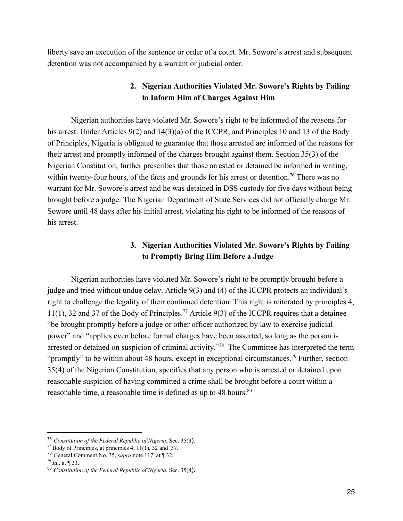liberty save an execution of the sentence or order of a court. Mr. Sowore's arrest and subsequent detention was not accompanied by a warrant or judicial order.

### **2. Nigerian Authorities Violated Mr. Sowore's Rights by Failing to Inform Him of Charges Against Him**

Nigerian authorities have violated Mr. Sowore's right to be informed of the reasons for his arrest. Under Articles 9(2) and 14(3)(a) of the ICCPR, and Principles 10 and 13 of the Body of Principles, Nigeria is obligated to guarantee that those arrested are informed of the reasons for their arrest and promptly informed of the charges brought against them. Section 35(3) of the Nigerian Constitution, further prescribes that those arrested or detained be informed in writing, within twenty-four hours, of the facts and grounds for his arrest or detention.<sup>76</sup> There was no warrant for Mr. Sowore's arrest and he was detained in DSS custody for five days without being brought before a judge. The Nigerian Department of State Services did not officially charge Mr. Sowore until 48 days after his initial arrest, violating his right to be informed of the reasons of his arrest.

### **3. Nigerian Authorities Violated Mr. Sowore's Rights by Failing to Promptly Bring Him Before a Judge**

Nigerian authorities have violated Mr. Sowore's right to be promptly brought before a judge and tried without undue delay. Article 9(3) and (4) of the ICCPR protects an individual's right to challenge the legality of their continued detention. This right is reiterated by principles 4, 11(1), 32 and 37 of the Body of Principles.<sup>77</sup> Article 9(3) of the ICCPR requires that a detainee "be brought promptly before a judge or other officer authorized by law to exercise judicial power" and "applies even before formal charges have been asserted, so long as the person is arrested or detained on suspicion of criminal activity."<sup>78</sup> The Committee has interpreted the term "promptly" to be within about 48 hours, except in exceptional circumstances.<sup>79</sup> Further, section 35(4) of the Nigerian Constitution, specifies that any person who is arrested or detained upon reasonable suspicion of having committed a crime shall be brought before a court within a reasonable time, a reasonable time is defined as up to 48 hours.<sup>80</sup>

<sup>76</sup> *Constitution of the Federal Republic of Nigeria*, Sec. 35(3).

 $^{77}$  Body of Principles, at principles 4, 11(1), 32 and 37.

<sup>78</sup> General Comment No. 35, *supra* note 117, at ¶ 32.

<sup>79</sup> *Id.*, at ¶ 33.

<sup>80</sup> *Constitution of the Federal Republic of Nigeria*, Sec. 35(4).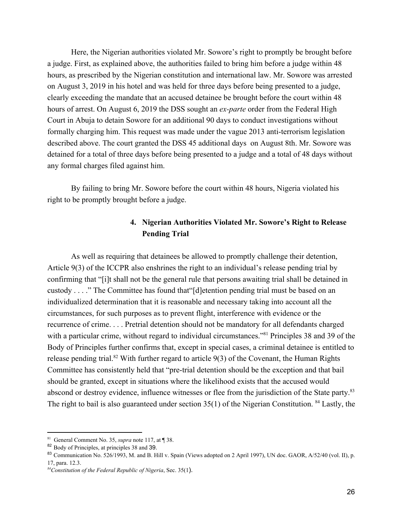Here, the Nigerian authorities violated Mr. Sowore's right to promptly be brought before a judge. First, as explained above, the authorities failed to bring him before a judge within 48 hours, as prescribed by the Nigerian constitution and international law. Mr. Sowore was arrested on August 3, 2019 in his hotel and was held for three days before being presented to a judge, clearly exceeding the mandate that an accused detainee be brought before the court within 48 hours of arrest. On August 6, 2019 the DSS sought an *ex-parte* order from the Federal High Court in Abuja to detain Sowore for an additional 90 days to conduct investigations without formally charging him. This request was made under the vague 2013 anti-terrorism legislation described above. The court granted the DSS 45 additional days on August 8th. Mr. Sowore was detained for a total of three days before being presented to a judge and a total of 48 days without any formal charges filed against him.

By failing to bring Mr. Sowore before the court within 48 hours, Nigeria violated his right to be promptly brought before a judge.

### **4. Nigerian Authorities Violated Mr. Sowore's Right to Release Pending Trial**

As well as requiring that detainees be allowed to promptly challenge their detention, Article 9(3) of the ICCPR also enshrines the right to an individual's release pending trial by confirming that "[i]t shall not be the general rule that persons awaiting trial shall be detained in custody . . . ." The Committee has found that"[d]etention pending trial must be based on an individualized determination that it is reasonable and necessary taking into account all the circumstances, for such purposes as to prevent flight, interference with evidence or the recurrence of crime. . . . Pretrial detention should not be mandatory for all defendants charged with a particular crime, without regard to individual circumstances."<sup>81</sup> Principles 38 and 39 of the Body of Principles further confirms that, except in special cases, a criminal detainee is entitled to release pending trial.<sup>82</sup> With further regard to article  $9(3)$  of the Covenant, the Human Rights Committee has consistently held that "pre-trial detention should be the exception and that bail should be granted, except in situations where the likelihood exists that the accused would abscond or destroy evidence, influence witnesses or flee from the jurisdiction of the State party.<sup>83</sup> The right to bail is also guaranteed under section  $35(1)$  of the Nigerian Constitution. <sup>84</sup> Lastly, the

<sup>81</sup> General Comment No. 35, *supra* note 117, at ¶ 38.

<sup>82</sup> Body of Principles, at principles 38 and 39.

<sup>83</sup> Communication No. 526/1993, M. and B. Hill v. Spain (Views adopted on 2 April 1997), UN doc. GAOR, A/52/40 (vol. II), p. 17, para. 12.3.

*<sup>84</sup>Constitution of the Federal Republic of Nigeria*, Sec. 35(1).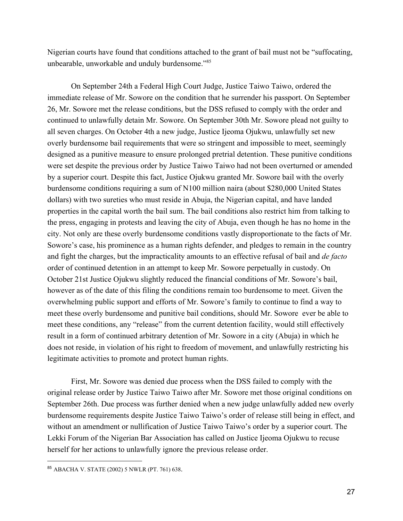Nigerian courts have found that conditions attached to the grant of bail must not be "suffocating, unbearable, unworkable and unduly burdensome."<sup>85</sup>

On September 24th a Federal High Court Judge, Justice Taiwo Taiwo, ordered the immediate release of Mr. Sowore on the condition that he surrender his passport. On September 26, Mr. Sowore met the release conditions, but the DSS refused to comply with the order and continued to unlawfully detain Mr. Sowore. On September 30th Mr. Sowore plead not guilty to all seven charges. On October 4th a new judge, Justice Ijeoma Ojukwu, unlawfully set new overly burdensome bail requirements that were so stringent and impossible to meet, seemingly designed as a punitive measure to ensure prolonged pretrial detention. These punitive conditions were set despite the previous order by Justice Taiwo Taiwo had not been overturned or amended by a superior court. Despite this fact, Justice Ojukwu granted Mr. Sowore bail with the overly burdensome conditions requiring a sum of N100 million naira (about \$280,000 United States dollars) with two sureties who must reside in Abuja, the Nigerian capital, and have landed properties in the capital worth the bail sum. The bail conditions also restrict him from talking to the press, engaging in protests and leaving the city of Abuja, even though he has no home in the city. Not only are these overly burdensome conditions vastly disproportionate to the facts of Mr. Sowore's case, his prominence as a human rights defender, and pledges to remain in the country and fight the charges, but the impracticality amounts to an effective refusal of bail and *de facto* order of continued detention in an attempt to keep Mr. Sowore perpetually in custody. On October 21st Justice Ojukwu slightly reduced the financial conditions of Mr. Sowore's bail, however as of the date of this filing the conditions remain too burdensome to meet. Given the overwhelming public support and efforts of Mr. Sowore's family to continue to find a way to meet these overly burdensome and punitive bail conditions, should Mr. Sowore ever be able to meet these conditions, any "release" from the current detention facility, would still effectively result in a form of continued arbitrary detention of Mr. Sowore in a city (Abuja) in which he does not reside, in violation of his right to freedom of movement, and unlawfully restricting his legitimate activities to promote and protect human rights.

First, Mr. Sowore was denied due process when the DSS failed to comply with the original release order by Justice Taiwo Taiwo after Mr. Sowore met those original conditions on September 26th. Due process was further denied when a new judge unlawfully added new overly burdensome requirements despite Justice Taiwo Taiwo's order of release still being in effect, and without an amendment or nullification of Justice Taiwo Taiwo's order by a superior court. The Lekki Forum of the Nigerian Bar Association has called on Justice Ijeoma Ojukwu to recuse herself for her actions to unlawfully ignore the previous release order.

<sup>85</sup> ABACHA V. STATE (2002) 5 NWLR (PT. 761) 638.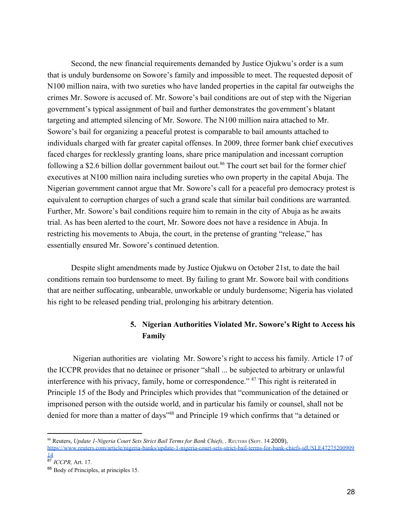Second, the new financial requirements demanded by Justice Ojukwu's order is a sum that is unduly burdensome on Sowore's family and impossible to meet. The requested deposit of N100 million naira, with two sureties who have landed properties in the capital far outweighs the crimes Mr. Sowore is accused of. Mr. Sowore's bail conditions are out of step with the Nigerian government's typical assignment of bail and further demonstrates the government's blatant targeting and attempted silencing of Mr. Sowore. The N100 million naira attached to Mr. Sowore's bail for organizing a peaceful protest is comparable to bail amounts attached to individuals charged with far greater capital offenses. In 2009, three former bank chief executives faced charges for recklessly granting loans, share price manipulation and incessant corruption following a \$2.6 billion dollar government bailout out.<sup>86</sup> The court set bail for the former chief executives at N100 million naira including sureties who own property in the capital Abuja. The Nigerian government cannot argue that Mr. Sowore's call for a peaceful pro democracy protest is equivalent to corruption charges of such a grand scale that similar bail conditions are warranted. Further, Mr. Sowore's bail conditions require him to remain in the city of Abuja as he awaits trial. As has been alerted to the court, Mr. Sowore does not have a residence in Abuja. In restricting his movements to Abuja, the court, in the pretense of granting "release," has essentially ensured Mr. Sowore's continued detention.

Despite slight amendments made by Justice Ojukwu on October 21st, to date the bail conditions remain too burdensome to meet. By failing to grant Mr. Sowore bail with conditions that are neither suffocating, unbearable, unworkable or unduly burdensome; Nigeria has violated his right to be released pending trial, prolonging his arbitrary detention.

### **5. Nigerian Authorities Violated Mr. Sowore's Right to Access his Family**

 Nigerian authorities are violating Mr. Sowore's right to access his family. Article 17 of the ICCPR provides that no detainee or prisoner "shall ... be subjected to arbitrary or unlawful interference with his privacy, family, home or correspondence."  $87$  This right is reiterated in Principle 15 of the Body and Principles which provides that "communication of the detained or imprisoned person with the outside world, and in particular his family or counsel, shall not be denied for more than a matter of days"<sup>88</sup> and Principle 19 which confirms that "a detained or

<sup>&</sup>lt;sup>86</sup> Reuters, *Update 1-Nigeria Court Sets Strict Bail Terms for Bank Chiefs, , REUTERS (SEPT. 14 2009),* [https://www.reuters.com/article/nigeria-banks/update-1-nigeria-court-sets-strict-bail-terms-for-bank-chiefs-idUSLE47275200909](https://www.reuters.com/article/nigeria-banks/update-1-nigeria-court-sets-strict-bail-terms-for-bank-chiefs-idUSLE4727520090914) [14](https://www.reuters.com/article/nigeria-banks/update-1-nigeria-court-sets-strict-bail-terms-for-bank-chiefs-idUSLE4727520090914)

<sup>87</sup> *ICCPR,* Art. 17.

<sup>88</sup> Body of Principles, at principles 15.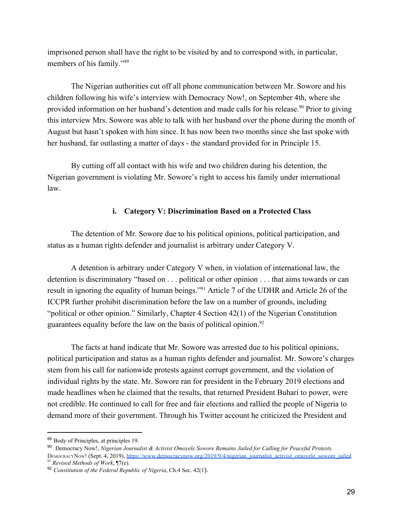imprisoned person shall have the right to be visited by and to correspond with, in particular, members of his family."<sup>89</sup>

The Nigerian authorities cut off all phone communication between Mr. Sowore and his children following his wife's interview with Democracy Now!, on September 4th, where she provided information on her husband's detention and made calls for his release.<sup>90</sup> Prior to giving this interview Mrs. Sowore was able to talk with her husband over the phone during the month of August but hasn't spoken with him since. It has now been two months since she last spoke with her husband, far outlasting a matter of days - the standard provided for in Principle 15.

By cutting off all contact with his wife and two children during his detention, the Nigerian government is violating Mr. Sowore's right to access his family under international law.

#### **i. Category V: Discrimination Based on a Protected Class**

The detention of Mr. Sowore due to his political opinions, political participation, and status as a human rights defender and journalist is arbitrary under Category V.

A detention is arbitrary under Category V when, in violation of international law, the detention is discriminatory "based on . . . political or other opinion . . . that aims towards or can result in ignoring the equality of human beings."<sup>91</sup> Article 7 of the UDHR and Article 26 of the ICCPR further prohibit discrimination before the law on a number of grounds, including "political or other opinion." Similarly, Chapter 4 Section 42(1) of the Nigerian Constitution guarantees equality before the law on the basis of political opinion.<sup>92</sup>

The facts at hand indicate that Mr. Sowore was arrested due to his political opinions, political participation and status as a human rights defender and journalist. Mr. Sowore's charges stem from his call for nationwide protests against corrupt government, and the violation of individual rights by the state. Mr. Sowore ran for president in the February 2019 elections and made headlines when he claimed that the results, that returned President Buhari to power, were not credible. He continued to call for free and fair elections and rallied the people of Nigeria to demand more of their government. Through his Twitter account he criticized the President and

<sup>89</sup> Body of Principles, at principles 19.

<sup>90</sup> Democracy Now!, *Nigerian Journalist & Activist Omoyele Sowore Remains Jailed for Calling for Peaceful Protests,* DEMOCRACYNOW! (Sept. 4, 2019), [https://www.democracynow.org/2019/9/4/nigerian\\_journalist\\_activist\\_omoyele\\_sowore\\_jailed](https://www.democracynow.org/2019/9/4/nigerian_journalist_activist_omoyele_sowore_jailed) <sup>91</sup> *Revised Methods of Work*, ¶7(e).

<sup>92</sup> *Constitution of the Federal Republic of Nigeria*, Ch.4 Sec. 42(1).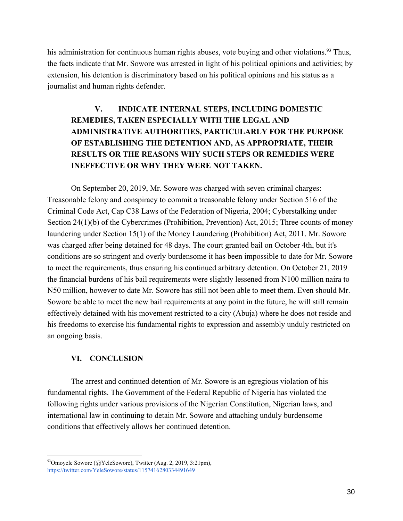his administration for continuous human rights abuses, vote buying and other violations.<sup>93</sup> Thus, the facts indicate that Mr. Sowore was arrested in light of his political opinions and activities; by extension, his detention is discriminatory based on his political opinions and his status as a journalist and human rights defender.

# **V. INDICATE INTERNAL STEPS, INCLUDING DOMESTIC REMEDIES, TAKEN ESPECIALLY WITH THE LEGAL AND ADMINISTRATIVE AUTHORITIES, PARTICULARLY FOR THE PURPOSE OF ESTABLISHING THE DETENTION AND, AS APPROPRIATE, THEIR RESULTS OR THE REASONS WHY SUCH STEPS OR REMEDIES WERE INEFFECTIVE OR WHY THEY WERE NOT TAKEN.**

On September 20, 2019, Mr. Sowore was charged with seven criminal charges: Treasonable felony and conspiracy to commit a treasonable felony under Section 516 of the Criminal Code Act, Cap C38 Laws of the Federation of Nigeria, 2004; Cyberstalking under Section 24(1)(b) of the Cybercrimes (Prohibition, Prevention) Act, 2015; Three counts of money laundering under Section 15(1) of the Money Laundering (Prohibition) Act, 2011. Mr. Sowore was charged after being detained for 48 days. The court granted bail on October 4th, but it's conditions are so stringent and overly burdensome it has been impossible to date for Mr. Sowore to meet the requirements, thus ensuring his continued arbitrary detention. On October 21, 2019 the financial burdens of his bail requirements were slightly lessened from N100 million naira to N50 million, however to date Mr. Sowore has still not been able to meet them. Even should Mr. Sowore be able to meet the new bail requirements at any point in the future, he will still remain effectively detained with his movement restricted to a city (Abuja) where he does not reside and his freedoms to exercise his fundamental rights to expression and assembly unduly restricted on an ongoing basis.

### **VI. CONCLUSION**

The arrest and continued detention of Mr. Sowore is an egregious violation of his fundamental rights. The Government of the Federal Republic of Nigeria has violated the following rights under various provisions of the Nigerian Constitution, Nigerian laws, and international law in continuing to detain Mr. Sowore and attaching unduly burdensome conditions that effectively allows her continued detention.

 $93$ Omoyele Sowore (@YeleSowore), Twitter (Aug. 2, 2019, 3:21pm), <https://twitter.com/YeleSowore/status/1157416280334491649>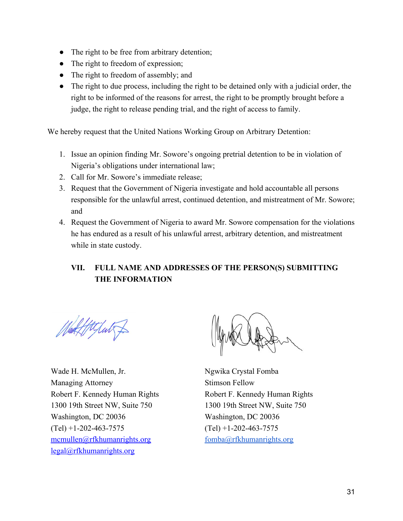- The right to be free from arbitrary detention;
- The right to freedom of expression;
- The right to freedom of assembly; and
- The right to due process, including the right to be detained only with a judicial order, the right to be informed of the reasons for arrest, the right to be promptly brought before a judge, the right to release pending trial, and the right of access to family.

We hereby request that the United Nations Working Group on Arbitrary Detention:

- 1. Issue an opinion finding Mr. Sowore's ongoing pretrial detention to be in violation of Nigeria's obligations under international law;
- 2. Call for Mr. Sowore's immediate release;
- 3. Request that the Government of Nigeria investigate and hold accountable all persons responsible for the unlawful arrest, continued detention, and mistreatment of Mr. Sowore; and
- 4. Request the Government of Nigeria to award Mr. Sowore compensation for the violations he has endured as a result of his unlawful arrest, arbitrary detention, and mistreatment while in state custody.

# **VII. FULL NAME AND ADDRESSES OF THE PERSON(S) SUBMITTING THE INFORMATION**

Vad Httput

Wade H. McMullen, Jr. Managing Attorney Robert F. Kennedy Human Rights 1300 19th Street NW, Suite 750 Washington, DC 20036  $(Tel)$  +1-202-463-7575 mcmullen@rfkhumanrights.org legal@rfkhumanrights.org

Ngwika Crystal Fomba Stimson Fellow Robert F. Kennedy Human Rights 1300 19th Street NW, Suite 750 Washington, DC 20036  $(Tel)$  +1-202-463-7575 [fomba@rfkhumanrights.org](mailto:fomba@rfkhumanrights.org)